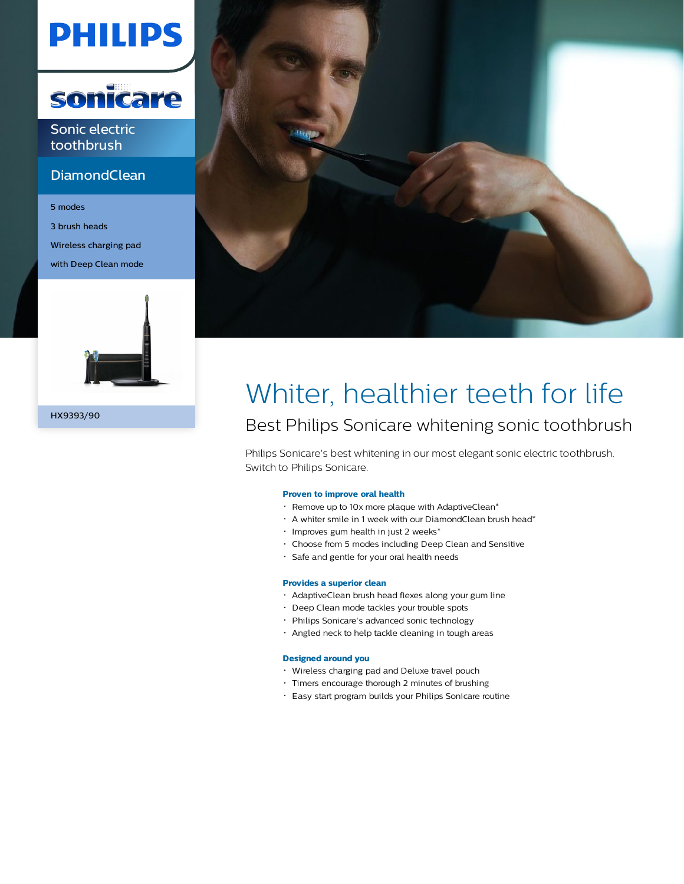# **PHILIPS**



Sonic electric toothbrush

### **DiamondClean**

5 modes 3 brush heads Wireless charging pad with Deep Clean mode



HX9393/90



## Whiter, healthier teeth for life Best Philips Sonicare whitening sonic toothbrush

Philips Sonicare's best whitening in our most elegant sonic electric toothbrush. Switch to Philips Sonicare.

#### **Proven to improve oral health**

- Remove up to 10x more plaque with AdaptiveClean\*
- A whiter smile in 1 week with our DiamondClean brush head\*
- Improves gum health in just 2 weeks\*
- Choose from 5 modes including Deep Clean and Sensitive
- Safe and gentle for your oral health needs

#### **Provides a superior clean**

- AdaptiveClean brush head flexes along your gum line
- Deep Clean mode tackles your trouble spots
- Philips Sonicare's advanced sonic technology
- Angled neck to help tackle cleaning in tough areas

#### **Designed around you**

- Wireless charging pad and Deluxe travel pouch
- Timers encourage thorough 2 minutes of brushing
- Easy start program builds your Philips Sonicare routine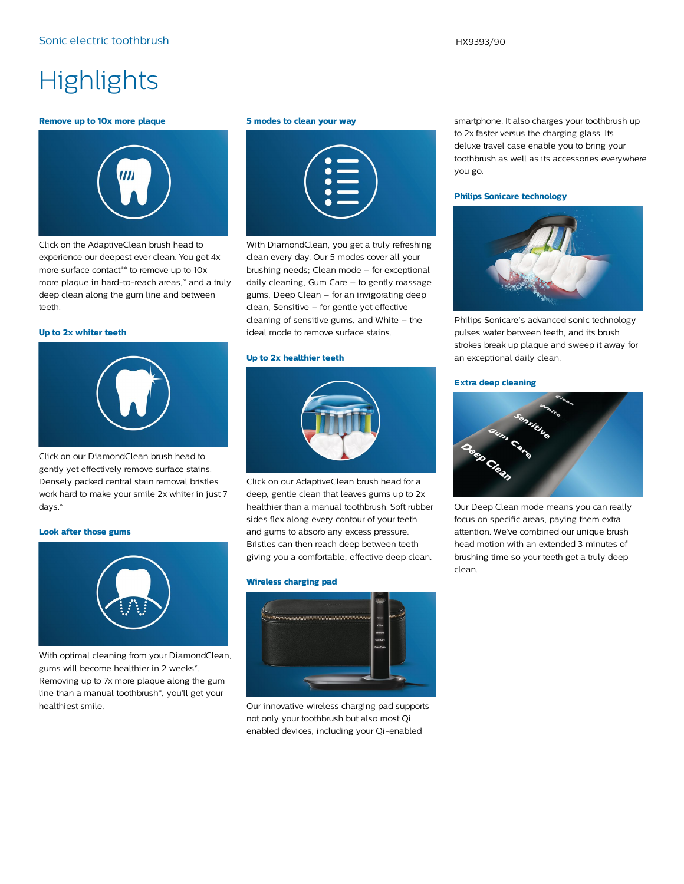### **Highlights**

#### **Remove up to 10x more plaque**



Click on the AdaptiveClean brush head to experience our deepest ever clean. You get 4x more surface contact\*\* to remove up to 10x more plaque in hard-to-reach areas,\* and a truly deep clean along the gum line and between teeth.

#### **Up to 2x whiter teeth**



Click on our DiamondClean brush head to gently yet effectively remove surface stains. Densely packed central stain removal bristles work hard to make your smile 2x whiter in just 7 days.\*

#### **Look after those gums**



With optimal cleaning from your DiamondClean, gums will become healthier in 2 weeks\*. Removing up to 7x more plaque along the gum line than a manual toothbrush\*, you'll get your healthiest smile.

#### **5 modes to clean your way**

| $\equiv$<br>\$<br>$\bullet$ |  |
|-----------------------------|--|
| $\sim$                      |  |

With DiamondClean, you get a truly refreshing clean every day. Our 5 modes cover all your brushing needs; Clean mode – for exceptional daily cleaning, Gum Care – to gently massage gums, Deep Clean – for an invigorating deep clean, Sensitive – for gentle yet effective cleaning of sensitive gums, and White – the ideal mode to remove surface stains.

#### **Up to 2x healthier teeth**



Click on our AdaptiveClean brush head for a deep, gentle clean that leaves gums up to 2x healthier than a manual toothbrush. Soft rubber sides flex along every contour of your teeth and gums to absorb any excess pressure. Bristles can then reach deep between teeth giving you a comfortable, effective deep clean.

#### **Wireless charging pad**



Our innovative wireless charging pad supports not only your toothbrush but also most Qi enabled devices, including your Qi-enabled

smartphone. It also charges your toothbrush up to 2x faster versus the charging glass. Its deluxe travel case enable you to bring your toothbrush as well as its accessories everywhere you go.

#### **Philips Sonicare technology**



Philips Sonicare's advanced sonic technology pulses water between teeth, and its brush strokes break up plaque and sweep it away for an exceptional daily clean.

#### **Extra deep cleaning**



Our Deep Clean mode means you can really focus on specific areas, paying them extra attention. We've combined our unique brush head motion with an extended 3 minutes of brushing time so your teeth get a truly deep clean.